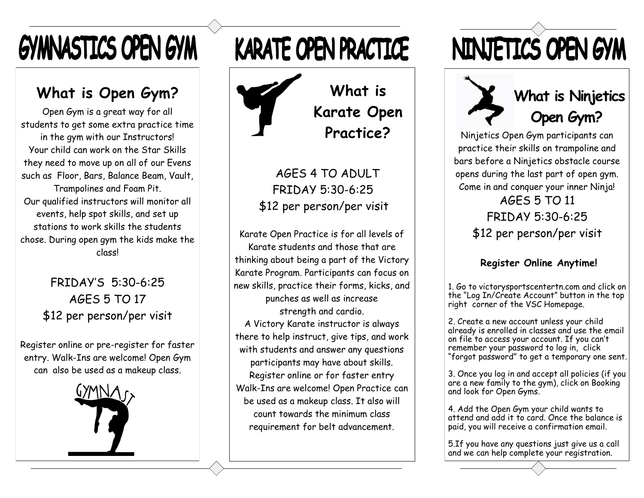## **GYMNASTICS OPEN GYM**

#### **What is Open Gym?**

Open Gym is a great way for all students to get some extra practice time in the gym with our Instructors! Your child can work on the Star Skills they need to move up on all of our Evens such as Floor, Bars, Balance Beam, Vault, Trampolines and Foam Pit. Our qualified instructors will monitor all events, help spot skills, and set up stations to work skills the students chose. During open gym the kids make the class!

> FRIDAY'S 5:30-6:25 AGES 5 TO 17 \$12 per person/per visit

Register online or pre-register for faster entry. Walk-Ins are welcome! Open Gym can also be used as a makeup class.



### **KARATE OPEN PRACTICE**

**What is Karate Open Practice?**

AGES 4 TO ADULT FRIDAY 5:30-6:25 \$12 per person/per visit

Karate Open Practice is for all levels of Karate students and those that are thinking about being a part of the Victory Karate Program. Participants can focus on new skills, practice their forms, kicks, and punches as well as increase strength and cardio. A Victory Karate instructor is always there to help instruct, give tips, and work with students and answer any questions participants may have about skills. Register online or for faster entry Walk-Ins are welcome! Open Practice can be used as a makeup class. It also will count towards the minimum class requirement for belt advancement.

## NINJETICS OPEN GYM



#### **What is Ninjetics Open Gym?**

Ninjetics Open Gym participants can practice their skills on trampoline and bars before a Ninjetics obstacle course opens during the last part of open gym. Come in and conquer your inner Ninja!

> AGES 5 TO 11 FRIDAY 5:30-6:25 \$12 per person/per visit

#### **Register Online Anytime!**

1. Go to victorysportscentertn.com and click on the "Log In/Create Account" button in the top right corner of the VSC Homepage.

2. Create a new account unless your child already is enrolled in classes and use the email on file to access your account. If you can't remember your password to log in, click "forgot password" to get a temporary one sent.

3. Once you log in and accept all policies (if you are a new family to the gym), click on Booking and look for Open Gyms.

4. Add the Open Gym your child wants to attend and add it to card. Once the balance is paid, you will receive a confirmation email.

5.If you have any questions just give us a call and we can help complete your registration.